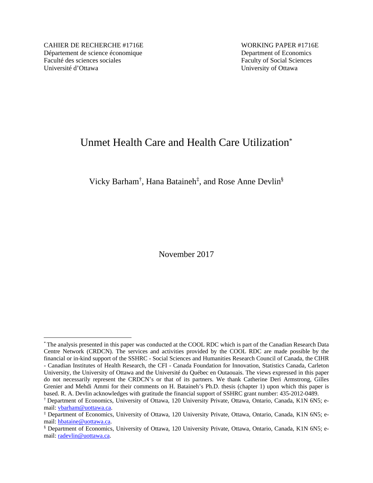CAHIER DE RECHERCHE #1716E WORKING PAPER #1716E Département de science économique Department of Economics Faculté des sciences sociales Faculty of Social Sciences Université d'Ottawa University of Ottawa

 $\overline{a}$ 

# Unmet Health Care and Health Care Utilization\*

Vicky Barham<sup>†</sup>, Hana Bataineh<sup>‡</sup>, and Rose Anne Devlin<sup>§</sup>

November 2017

<sup>\*</sup> The analysis presented in this paper was conducted at the COOL RDC which is part of the Canadian Research Data Centre Network (CRDCN). The services and activities provided by the COOL RDC are made possible by the financial or in-kind support of the SSHRC - Social Sciences and Humanities Research Council of Canada, the CIHR - Canadian Institutes of Health Research, the CFI - Canada Foundation for Innovation, Statistics Canada, Carleton University, the University of Ottawa and the Université du Québec en Outaouais. The views expressed in this paper do not necessarily represent the CRDCN's or that of its partners. We thank Catherine Deri Armstrong, Gilles Grenier and Mehdi Ammi for their comments on H. Bataineh's Ph.D. thesis (chapter 1) upon which this paper is based. R. A. Devlin acknowledges with gratitude the financial support of SSHRC grant number: 435-2012-0489.

<sup>†</sup> Department of Economics, University of Ottawa, 120 University Private, Ottawa, Ontario, Canada, K1N 6N5; email: vbarham@uottawa.ca. ‡

Department of Economics, University of Ottawa, 120 University Private, Ottawa, Ontario, Canada, K1N 6N5; email: hbataine@uottawa.ca.

Department of Economics, University of Ottawa, 120 University Private, Ottawa, Ontario, Canada, K1N 6N5; email: radevlin@uottawa.ca.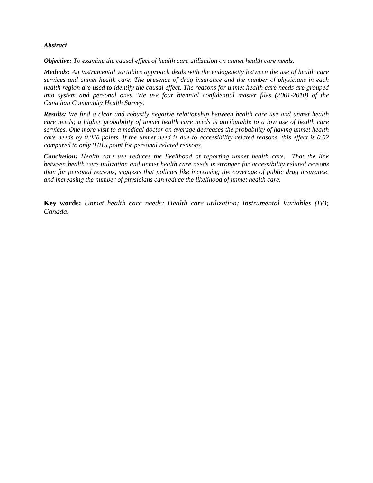#### *Abstract*

*Objective: To examine the causal effect of health care utilization on unmet health care needs.* 

*Methods: An instrumental variables approach deals with the endogeneity between the use of health care services and unmet health care. The presence of drug insurance and the number of physicians in each health region are used to identify the causal effect. The reasons for unmet health care needs are grouped into system and personal ones. We use four biennial confidential master files (2001-2010) of the Canadian Community Health Survey.* 

*Results: We find a clear and robustly negative relationship between health care use and unmet health care needs; a higher probability of unmet health care needs is attributable to a low use of health care services. One more visit to a medical doctor on average decreases the probability of having unmet health care needs by 0.028 points. If the unmet need is due to accessibility related reasons, this effect is 0.02 compared to only 0.015 point for personal related reasons.* 

*Conclusion: Health care use reduces the likelihood of reporting unmet health care. That the link between health care utilization and unmet health care needs is stronger for accessibility related reasons than for personal reasons, suggests that policies like increasing the coverage of public drug insurance, and increasing the number of physicians can reduce the likelihood of unmet health care.* 

**Key words:** *Unmet health care needs; Health care utilization; Instrumental Variables (IV); Canada.*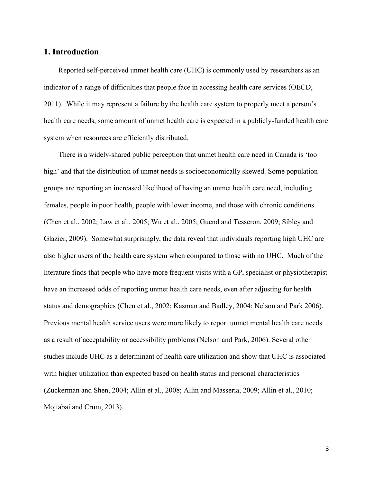## **1. Introduction**

 Reported self-perceived unmet health care (UHC) is commonly used by researchers as an indicator of a range of difficulties that people face in accessing health care services (OECD, 2011). While it may represent a failure by the health care system to properly meet a person's health care needs, some amount of unmet health care is expected in a publicly-funded health care system when resources are efficiently distributed.

 There is a widely-shared public perception that unmet health care need in Canada is 'too high' and that the distribution of unmet needs is socioeconomically skewed. Some population groups are reporting an increased likelihood of having an unmet health care need, including females, people in poor health, people with lower income, and those with chronic conditions (Chen et al., 2002; Law et al., 2005; Wu et al., 2005; Guend and Tesseron, 2009; Sibley and Glazier, 2009). Somewhat surprisingly, the data reveal that individuals reporting high UHC are also higher users of the health care system when compared to those with no UHC. Much of the literature finds that people who have more frequent visits with a GP, specialist or physiotherapist have an increased odds of reporting unmet health care needs, even after adjusting for health status and demographics (Chen et al., 2002; Kasman and Badley, 2004; Nelson and Park 2006). Previous mental health service users were more likely to report unmet mental health care needs as a result of acceptability or accessibility problems (Nelson and Park, 2006). Several other studies include UHC as a determinant of health care utilization and show that UHC is associated with higher utilization than expected based on health status and personal characteristics **(**Zuckerman and Shen, 2004; Allin et al., 2008; Allin and Masseria, 2009; Allin et al., 2010; Mojtabai and Crum, 2013).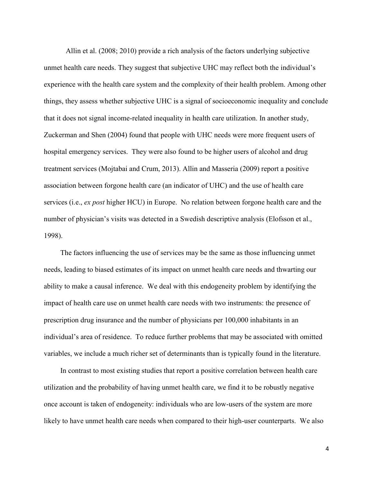Allin et al. (2008; 2010) provide a rich analysis of the factors underlying subjective unmet health care needs. They suggest that subjective UHC may reflect both the individual's experience with the health care system and the complexity of their health problem. Among other things, they assess whether subjective UHC is a signal of socioeconomic inequality and conclude that it does not signal income-related inequality in health care utilization. In another study, Zuckerman and Shen (2004) found that people with UHC needs were more frequent users of hospital emergency services. They were also found to be higher users of alcohol and drug treatment services (Mojtabai and Crum, 2013). Allin and Masseria (2009) report a positive association between forgone health care (an indicator of UHC) and the use of health care services (i.e., *ex post* higher HCU) in Europe. No relation between forgone health care and the number of physician's visits was detected in a Swedish descriptive analysis (Elofsson et al., 1998).

The factors influencing the use of services may be the same as those influencing unmet needs, leading to biased estimates of its impact on unmet health care needs and thwarting our ability to make a causal inference. We deal with this endogeneity problem by identifying the impact of health care use on unmet health care needs with two instruments: the presence of prescription drug insurance and the number of physicians per 100,000 inhabitants in an individual's area of residence. To reduce further problems that may be associated with omitted variables, we include a much richer set of determinants than is typically found in the literature.

In contrast to most existing studies that report a positive correlation between health care utilization and the probability of having unmet health care, we find it to be robustly negative once account is taken of endogeneity: individuals who are low-users of the system are more likely to have unmet health care needs when compared to their high-user counterparts. We also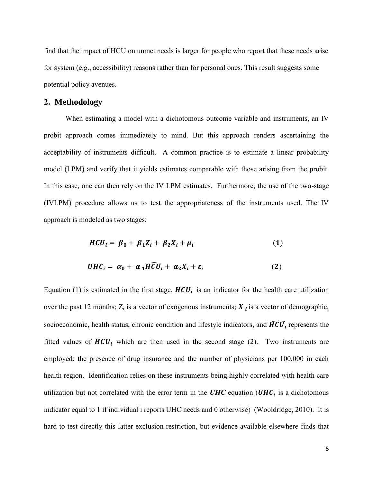find that the impact of HCU on unmet needs is larger for people who report that these needs arise for system (e.g., accessibility) reasons rather than for personal ones. This result suggests some potential policy avenues.

#### **2. Methodology**

When estimating a model with a dichotomous outcome variable and instruments, an IV probit approach comes immediately to mind. But this approach renders ascertaining the acceptability of instruments difficult. A common practice is to estimate a linear probability model (LPM) and verify that it yields estimates comparable with those arising from the probit. In this case, one can then rely on the IV LPM estimates. Furthermore, the use of the two-stage (IVLPM) procedure allows us to test the appropriateness of the instruments used. The IV approach is modeled as two stages:

$$
HCU_i = \beta_0 + \beta_1 Z_i + \beta_2 X_i + \mu_i \tag{1}
$$

$$
UHC_i = \alpha_0 + \alpha_1 \widehat{HCU}_i + \alpha_2 X_i + \varepsilon_i \tag{2}
$$

Equation (1) is estimated in the first stage.  $HCU_i$  is an indicator for the health care utilization over the past 12 months;  $Z_i$  is a vector of exogenous instruments;  $X_i$  is a vector of demographic, socioeconomic, health status, chronic condition and lifestyle indicators, and  $\widehat{HCU}_t$  represents the fitted values of  $HCU_i$  which are then used in the second stage (2). Two instruments are employed: the presence of drug insurance and the number of physicians per 100,000 in each health region. Identification relies on these instruments being highly correlated with health care utilization but not correlated with the error term in the  $UHC$  equation  $(UHC<sub>i</sub>)$  is a dichotomous indicator equal to 1 if individual i reports UHC needs and 0 otherwise) (Wooldridge, 2010). It is hard to test directly this latter exclusion restriction, but evidence available elsewhere finds that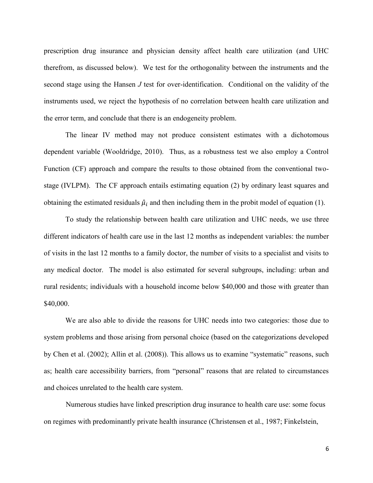prescription drug insurance and physician density affect health care utilization (and UHC therefrom, as discussed below). We test for the orthogonality between the instruments and the second stage using the Hansen *J* test for over-identification. Conditional on the validity of the instruments used, we reject the hypothesis of no correlation between health care utilization and the error term, and conclude that there is an endogeneity problem.

The linear IV method may not produce consistent estimates with a dichotomous dependent variable (Wooldridge, 2010). Thus, as a robustness test we also employ a Control Function (CF) approach and compare the results to those obtained from the conventional twostage (IVLPM). The CF approach entails estimating equation (2) by ordinary least squares and obtaining the estimated residuals  $\hat{\mu}_i$  and then including them in the probit model of equation (1).

To study the relationship between health care utilization and UHC needs, we use three different indicators of health care use in the last 12 months as independent variables: the number of visits in the last 12 months to a family doctor, the number of visits to a specialist and visits to any medical doctor. The model is also estimated for several subgroups, including: urban and rural residents; individuals with a household income below \$40,000 and those with greater than \$40,000.

We are also able to divide the reasons for UHC needs into two categories: those due to system problems and those arising from personal choice (based on the categorizations developed by Chen et al. (2002); Allin et al. (2008)). This allows us to examine "systematic" reasons, such as; health care accessibility barriers, from "personal" reasons that are related to circumstances and choices unrelated to the health care system.

Numerous studies have linked prescription drug insurance to health care use: some focus on regimes with predominantly private health insurance (Christensen et al., 1987; Finkelstein,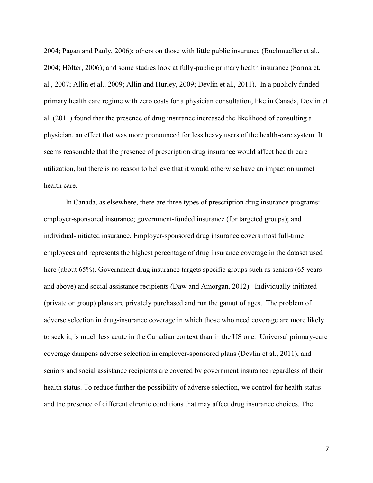2004; Pagan and Pauly, 2006); others on those with little public insurance (Buchmueller et al., 2004; Höfter, 2006); and some studies look at fully-public primary health insurance (Sarma et. al., 2007; Allin et al., 2009; Allin and Hurley, 2009; Devlin et al., 2011). In a publicly funded primary health care regime with zero costs for a physician consultation, like in Canada, Devlin et al. (2011) found that the presence of drug insurance increased the likelihood of consulting a physician, an effect that was more pronounced for less heavy users of the health-care system. It seems reasonable that the presence of prescription drug insurance would affect health care utilization, but there is no reason to believe that it would otherwise have an impact on unmet health care.

In Canada, as elsewhere, there are three types of prescription drug insurance programs: employer-sponsored insurance; government-funded insurance (for targeted groups); and individual-initiated insurance. Employer-sponsored drug insurance covers most full-time employees and represents the highest percentage of drug insurance coverage in the dataset used here (about 65%). Government drug insurance targets specific groups such as seniors (65 years and above) and social assistance recipients (Daw and Amorgan, 2012). Individually-initiated (private or group) plans are privately purchased and run the gamut of ages. The problem of adverse selection in drug-insurance coverage in which those who need coverage are more likely to seek it, is much less acute in the Canadian context than in the US one. Universal primary-care coverage dampens adverse selection in employer-sponsored plans (Devlin et al., 2011), and seniors and social assistance recipients are covered by government insurance regardless of their health status. To reduce further the possibility of adverse selection, we control for health status and the presence of different chronic conditions that may affect drug insurance choices. The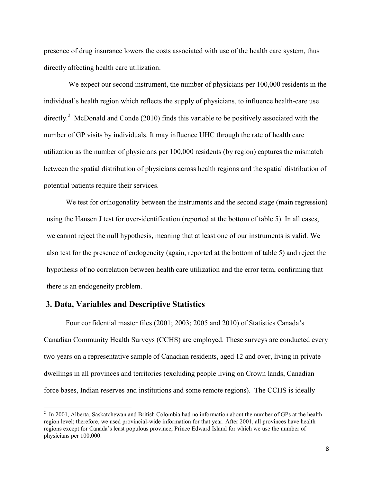presence of drug insurance lowers the costs associated with use of the health care system, thus directly affecting health care utilization.

We expect our second instrument, the number of physicians per 100,000 residents in the individual's health region which reflects the supply of physicians, to influence health-care use directly.<sup>2</sup> McDonald and Conde (2010) finds this variable to be positively associated with the number of GP visits by individuals. It may influence UHC through the rate of health care utilization as the number of physicians per 100,000 residents (by region) captures the mismatch between the spatial distribution of physicians across health regions and the spatial distribution of potential patients require their services.

We test for orthogonality between the instruments and the second stage (main regression) using the Hansen J test for over-identification (reported at the bottom of table 5). In all cases, we cannot reject the null hypothesis, meaning that at least one of our instruments is valid. We also test for the presence of endogeneity (again, reported at the bottom of table 5) and reject the hypothesis of no correlation between health care utilization and the error term, confirming that there is an endogeneity problem.

#### **3. Data, Variables and Descriptive Statistics**

 $\overline{\phantom{a}}$ 

 Four confidential master files (2001; 2003; 2005 and 2010) of Statistics Canada's Canadian Community Health Surveys (CCHS) are employed. These surveys are conducted every two years on a representative sample of Canadian residents, aged 12 and over, living in private dwellings in all provinces and territories (excluding people living on Crown lands, Canadian force bases, Indian reserves and institutions and some remote regions). The CCHS is ideally

 $^2$  In 2001, Alberta, Saskatchewan and British Colombia had no information about the number of GPs at the health region level; therefore, we used provincial-wide information for that year. After 2001, all provinces have health regions except for Canada's least populous province, Prince Edward Island for which we use the number of physicians per 100,000.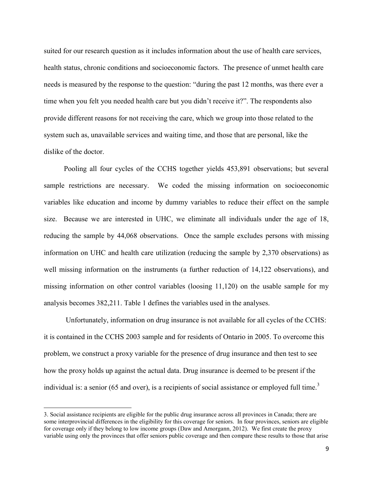suited for our research question as it includes information about the use of health care services, health status, chronic conditions and socioeconomic factors. The presence of unmet health care needs is measured by the response to the question: "during the past 12 months, was there ever a time when you felt you needed health care but you didn't receive it?". The respondents also provide different reasons for not receiving the care, which we group into those related to the system such as, unavailable services and waiting time, and those that are personal, like the dislike of the doctor.

 Pooling all four cycles of the CCHS together yields 453,891 observations; but several sample restrictions are necessary. We coded the missing information on socioeconomic variables like education and income by dummy variables to reduce their effect on the sample size. Because we are interested in UHC, we eliminate all individuals under the age of 18, reducing the sample by 44,068 observations. Once the sample excludes persons with missing information on UHC and health care utilization (reducing the sample by 2,370 observations) as well missing information on the instruments (a further reduction of 14,122 observations), and missing information on other control variables (loosing 11,120) on the usable sample for my analysis becomes 382,211. Table 1 defines the variables used in the analyses.

Unfortunately, information on drug insurance is not available for all cycles of the CCHS: it is contained in the CCHS 2003 sample and for residents of Ontario in 2005. To overcome this problem, we construct a proxy variable for the presence of drug insurance and then test to see how the proxy holds up against the actual data. Drug insurance is deemed to be present if the individual is: a senior (65 and over), is a recipients of social assistance or employed full time.<sup>3</sup>

 $\overline{\phantom{a}}$ 

<sup>3.</sup> Social assistance recipients are eligible for the public drug insurance across all provinces in Canada; there are some interprovincial differences in the eligibility for this coverage for seniors. In four provinces, seniors are eligible for coverage only if they belong to low income groups (Daw and Amorgann, 2012). We first create the proxy variable using only the provinces that offer seniors public coverage and then compare these results to those that arise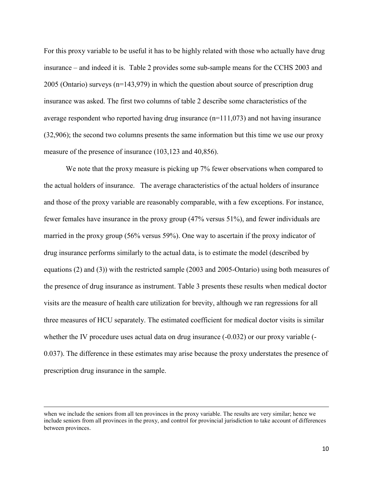For this proxy variable to be useful it has to be highly related with those who actually have drug insurance – and indeed it is. Table 2 provides some sub-sample means for the CCHS 2003 and 2005 (Ontario) surveys (n=143,979) in which the question about source of prescription drug insurance was asked. The first two columns of table 2 describe some characteristics of the average respondent who reported having drug insurance (n=111,073) and not having insurance (32,906); the second two columns presents the same information but this time we use our proxy measure of the presence of insurance (103,123 and 40,856).

We note that the proxy measure is picking up 7% fewer observations when compared to the actual holders of insurance. The average characteristics of the actual holders of insurance and those of the proxy variable are reasonably comparable, with a few exceptions. For instance, fewer females have insurance in the proxy group (47% versus 51%), and fewer individuals are married in the proxy group (56% versus 59%). One way to ascertain if the proxy indicator of drug insurance performs similarly to the actual data, is to estimate the model (described by equations (2) and (3)) with the restricted sample (2003 and 2005-Ontario) using both measures of the presence of drug insurance as instrument. Table 3 presents these results when medical doctor visits are the measure of health care utilization for brevity, although we ran regressions for all three measures of HCU separately. The estimated coefficient for medical doctor visits is similar whether the IV procedure uses actual data on drug insurance (-0.032) or our proxy variable (-0.037). The difference in these estimates may arise because the proxy understates the presence of prescription drug insurance in the sample.

 $\overline{\phantom{a}}$ 

when we include the seniors from all ten provinces in the proxy variable. The results are very similar; hence we include seniors from all provinces in the proxy, and control for provincial jurisdiction to take account of differences between provinces.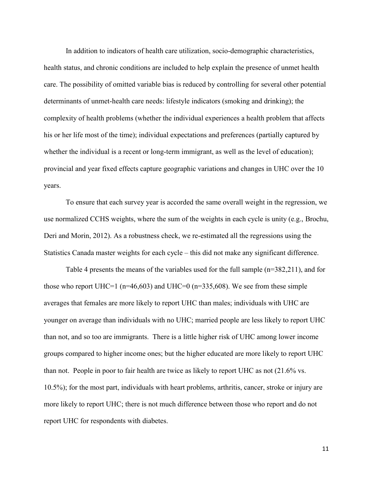In addition to indicators of health care utilization, socio-demographic characteristics, health status, and chronic conditions are included to help explain the presence of unmet health care. The possibility of omitted variable bias is reduced by controlling for several other potential determinants of unmet-health care needs: lifestyle indicators (smoking and drinking); the complexity of health problems (whether the individual experiences a health problem that affects his or her life most of the time); individual expectations and preferences (partially captured by whether the individual is a recent or long-term immigrant, as well as the level of education); provincial and year fixed effects capture geographic variations and changes in UHC over the 10 years.

 To ensure that each survey year is accorded the same overall weight in the regression, we use normalized CCHS weights, where the sum of the weights in each cycle is unity (e.g., Brochu, Deri and Morin, 2012). As a robustness check, we re-estimated all the regressions using the Statistics Canada master weights for each cycle – this did not make any significant difference.

Table 4 presents the means of the variables used for the full sample (n=382,211), and for those who report UHC=1 ( $n=46,603$ ) and UHC=0 ( $n=335,608$ ). We see from these simple averages that females are more likely to report UHC than males; individuals with UHC are younger on average than individuals with no UHC; married people are less likely to report UHC than not, and so too are immigrants. There is a little higher risk of UHC among lower income groups compared to higher income ones; but the higher educated are more likely to report UHC than not. People in poor to fair health are twice as likely to report UHC as not (21.6% vs. 10.5%); for the most part, individuals with heart problems, arthritis, cancer, stroke or injury are more likely to report UHC; there is not much difference between those who report and do not report UHC for respondents with diabetes.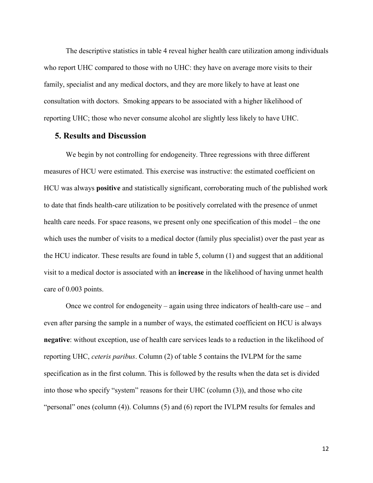The descriptive statistics in table 4 reveal higher health care utilization among individuals who report UHC compared to those with no UHC: they have on average more visits to their family, specialist and any medical doctors, and they are more likely to have at least one consultation with doctors. Smoking appears to be associated with a higher likelihood of reporting UHC; those who never consume alcohol are slightly less likely to have UHC.

## **5. Results and Discussion**

We begin by not controlling for endogeneity. Three regressions with three different measures of HCU were estimated. This exercise was instructive: the estimated coefficient on HCU was always **positive** and statistically significant, corroborating much of the published work to date that finds health-care utilization to be positively correlated with the presence of unmet health care needs. For space reasons, we present only one specification of this model – the one which uses the number of visits to a medical doctor (family plus specialist) over the past year as the HCU indicator. These results are found in table 5, column (1) and suggest that an additional visit to a medical doctor is associated with an **increase** in the likelihood of having unmet health care of 0.003 points.

Once we control for endogeneity – again using three indicators of health-care use – and even after parsing the sample in a number of ways, the estimated coefficient on HCU is always **negative**: without exception, use of health care services leads to a reduction in the likelihood of reporting UHC, *ceteris paribus*. Column (2) of table 5 contains the IVLPM for the same specification as in the first column. This is followed by the results when the data set is divided into those who specify "system" reasons for their UHC (column (3)), and those who cite "personal" ones (column (4)). Columns (5) and (6) report the IVLPM results for females and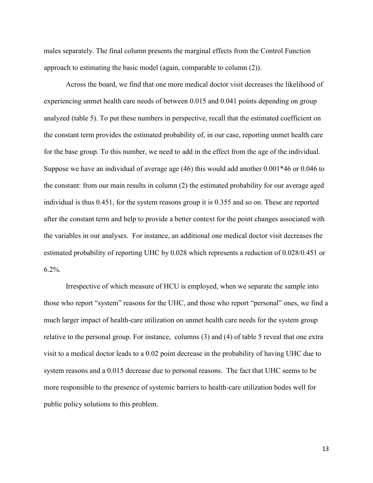males separately. The final column presents the marginal effects from the Control Function approach to estimating the basic model (again, comparable to column (2)).

Across the board, we find that one more medical doctor visit decreases the likelihood of experiencing unmet health care needs of between 0.015 and 0.041 points depending on group analyzed (table 5). To put these numbers in perspective, recall that the estimated coefficient on the constant term provides the estimated probability of, in our case, reporting unmet health care for the base group. To this number, we need to add in the effect from the age of the individual. Suppose we have an individual of average age (46) this would add another 0.001\*46 or 0.046 to the constant: from our main results in column (2) the estimated probability for our average aged individual is thus 0.451, for the system reasons group it is 0.355 and so on. These are reported after the constant term and help to provide a better context for the point changes associated with the variables in our analyses. For instance, an additional one medical doctor visit decreases the estimated probability of reporting UHC by 0.028 which represents a reduction of 0.028/0.451 or  $6.2\%$ .

Irrespective of which measure of HCU is employed, when we separate the sample into those who report "system" reasons for the UHC, and those who report "personal" ones, we find a much larger impact of health-care utilization on unmet health care needs for the system group relative to the personal group. For instance, columns (3) and (4) of table 5 reveal that one extra visit to a medical doctor leads to a 0.02 point decrease in the probability of having UHC due to system reasons and a 0.015 decrease due to personal reasons. The fact that UHC seems to be more responsible to the presence of systemic barriers to health-care utilization bodes well for public policy solutions to this problem.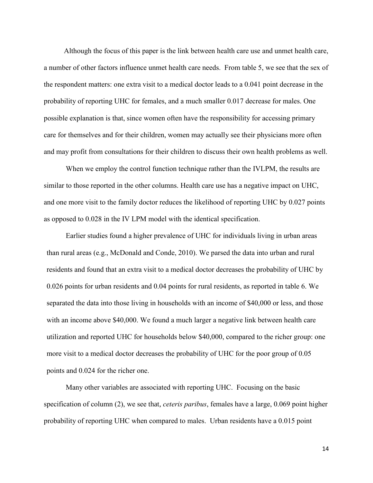Although the focus of this paper is the link between health care use and unmet health care, a number of other factors influence unmet health care needs. From table 5, we see that the sex of the respondent matters: one extra visit to a medical doctor leads to a 0.041 point decrease in the probability of reporting UHC for females, and a much smaller 0.017 decrease for males. One possible explanation is that, since women often have the responsibility for accessing primary care for themselves and for their children, women may actually see their physicians more often and may profit from consultations for their children to discuss their own health problems as well.

 When we employ the control function technique rather than the IVLPM, the results are similar to those reported in the other columns. Health care use has a negative impact on UHC, and one more visit to the family doctor reduces the likelihood of reporting UHC by 0.027 points as opposed to 0.028 in the IV LPM model with the identical specification.

Earlier studies found a higher prevalence of UHC for individuals living in urban areas than rural areas (e.g., McDonald and Conde, 2010). We parsed the data into urban and rural residents and found that an extra visit to a medical doctor decreases the probability of UHC by 0.026 points for urban residents and 0.04 points for rural residents, as reported in table 6. We separated the data into those living in households with an income of \$40,000 or less, and those with an income above \$40,000. We found a much larger a negative link between health care utilization and reported UHC for households below \$40,000, compared to the richer group: one more visit to a medical doctor decreases the probability of UHC for the poor group of 0.05 points and 0.024 for the richer one.

 Many other variables are associated with reporting UHC. Focusing on the basic specification of column (2), we see that, *ceteris paribus*, females have a large, 0.069 point higher probability of reporting UHC when compared to males. Urban residents have a 0.015 point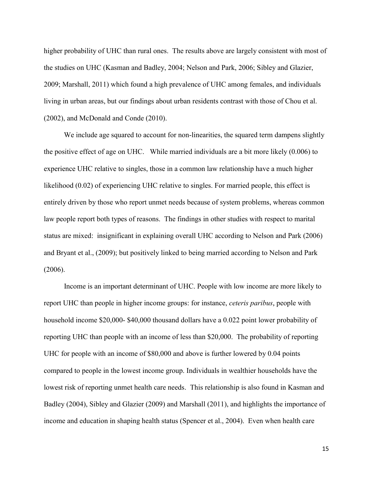higher probability of UHC than rural ones. The results above are largely consistent with most of the studies on UHC (Kasman and Badley, 2004; Nelson and Park, 2006; Sibley and Glazier, 2009; Marshall, 2011) which found a high prevalence of UHC among females, and individuals living in urban areas, but our findings about urban residents contrast with those of Chou et al. (2002), and McDonald and Conde (2010).

We include age squared to account for non-linearities, the squared term dampens slightly the positive effect of age on UHC. While married individuals are a bit more likely (0.006) to experience UHC relative to singles, those in a common law relationship have a much higher likelihood (0.02) of experiencing UHC relative to singles. For married people, this effect is entirely driven by those who report unmet needs because of system problems, whereas common law people report both types of reasons. The findings in other studies with respect to marital status are mixed: insignificant in explaining overall UHC according to Nelson and Park (2006) and Bryant et al., (2009); but positively linked to being married according to Nelson and Park (2006).

 Income is an important determinant of UHC. People with low income are more likely to report UHC than people in higher income groups: for instance, *ceteris paribus*, people with household income \$20,000- \$40,000 thousand dollars have a 0.022 point lower probability of reporting UHC than people with an income of less than \$20,000. The probability of reporting UHC for people with an income of \$80,000 and above is further lowered by 0.04 points compared to people in the lowest income group. Individuals in wealthier households have the lowest risk of reporting unmet health care needs. This relationship is also found in Kasman and Badley (2004), Sibley and Glazier (2009) and Marshall (2011), and highlights the importance of income and education in shaping health status (Spencer et al., 2004). Even when health care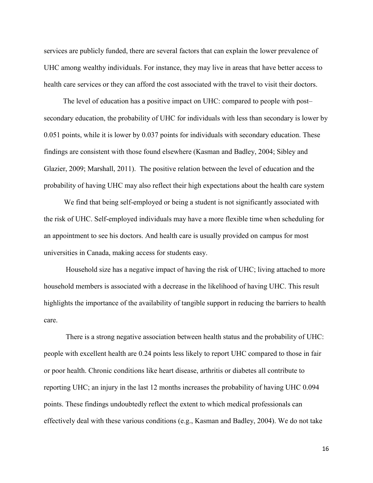services are publicly funded, there are several factors that can explain the lower prevalence of UHC among wealthy individuals. For instance, they may live in areas that have better access to health care services or they can afford the cost associated with the travel to visit their doctors.

 The level of education has a positive impact on UHC: compared to people with post– secondary education, the probability of UHC for individuals with less than secondary is lower by 0.051 points, while it is lower by 0.037 points for individuals with secondary education. These findings are consistent with those found elsewhere (Kasman and Badley, 2004; Sibley and Glazier, 2009; Marshall, 2011). The positive relation between the level of education and the probability of having UHC may also reflect their high expectations about the health care system

 We find that being self-employed or being a student is not significantly associated with the risk of UHC. Self-employed individuals may have a more flexible time when scheduling for an appointment to see his doctors. And health care is usually provided on campus for most universities in Canada, making access for students easy.

Household size has a negative impact of having the risk of UHC; living attached to more household members is associated with a decrease in the likelihood of having UHC. This result highlights the importance of the availability of tangible support in reducing the barriers to health care.

 There is a strong negative association between health status and the probability of UHC: people with excellent health are 0.24 points less likely to report UHC compared to those in fair or poor health. Chronic conditions like heart disease, arthritis or diabetes all contribute to reporting UHC; an injury in the last 12 months increases the probability of having UHC 0.094 points. These findings undoubtedly reflect the extent to which medical professionals can effectively deal with these various conditions (e.g., Kasman and Badley, 2004). We do not take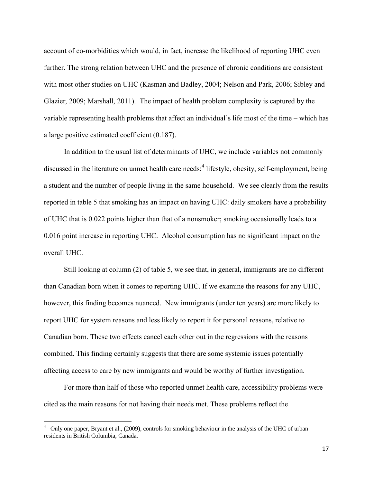account of co-morbidities which would, in fact, increase the likelihood of reporting UHC even further. The strong relation between UHC and the presence of chronic conditions are consistent with most other studies on UHC (Kasman and Badley, 2004; Nelson and Park, 2006; Sibley and Glazier, 2009; Marshall, 2011). The impact of health problem complexity is captured by the variable representing health problems that affect an individual's life most of the time – which has a large positive estimated coefficient (0.187).

 In addition to the usual list of determinants of UHC, we include variables not commonly discussed in the literature on unmet health care needs:<sup>4</sup> lifestyle, obesity, self-employment, being a student and the number of people living in the same household. We see clearly from the results reported in table 5 that smoking has an impact on having UHC: daily smokers have a probability of UHC that is 0.022 points higher than that of a nonsmoker; smoking occasionally leads to a 0.016 point increase in reporting UHC. Alcohol consumption has no significant impact on the overall UHC.

Still looking at column (2) of table 5, we see that, in general, immigrants are no different than Canadian born when it comes to reporting UHC. If we examine the reasons for any UHC, however, this finding becomes nuanced. New immigrants (under ten years) are more likely to report UHC for system reasons and less likely to report it for personal reasons, relative to Canadian born. These two effects cancel each other out in the regressions with the reasons combined. This finding certainly suggests that there are some systemic issues potentially affecting access to care by new immigrants and would be worthy of further investigation.

 For more than half of those who reported unmet health care, accessibility problems were cited as the main reasons for not having their needs met. These problems reflect the

 $\overline{\phantom{a}}$ 

<sup>4</sup> Only one paper, Bryant et al., (2009), controls for smoking behaviour in the analysis of the UHC of urban residents in British Columbia, Canada.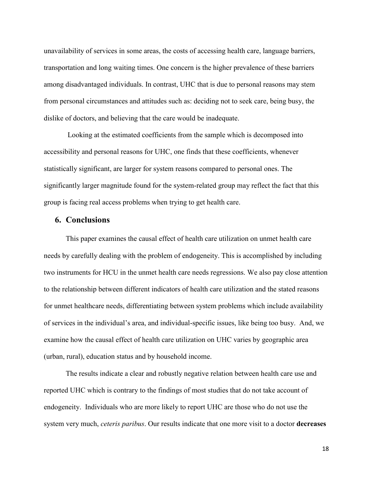unavailability of services in some areas, the costs of accessing health care, language barriers, transportation and long waiting times. One concern is the higher prevalence of these barriers among disadvantaged individuals. In contrast, UHC that is due to personal reasons may stem from personal circumstances and attitudes such as: deciding not to seek care, being busy, the dislike of doctors, and believing that the care would be inadequate.

 Looking at the estimated coefficients from the sample which is decomposed into accessibility and personal reasons for UHC, one finds that these coefficients, whenever statistically significant, are larger for system reasons compared to personal ones. The significantly larger magnitude found for the system-related group may reflect the fact that this group is facing real access problems when trying to get health care.

## **6. Conclusions**

 This paper examines the causal effect of health care utilization on unmet health care needs by carefully dealing with the problem of endogeneity. This is accomplished by including two instruments for HCU in the unmet health care needs regressions. We also pay close attention to the relationship between different indicators of health care utilization and the stated reasons for unmet healthcare needs, differentiating between system problems which include availability of services in the individual's area, and individual-specific issues, like being too busy. And, we examine how the causal effect of health care utilization on UHC varies by geographic area (urban, rural), education status and by household income.

 The results indicate a clear and robustly negative relation between health care use and reported UHC which is contrary to the findings of most studies that do not take account of endogeneity. Individuals who are more likely to report UHC are those who do not use the system very much, *ceteris paribus*. Our results indicate that one more visit to a doctor **decreases**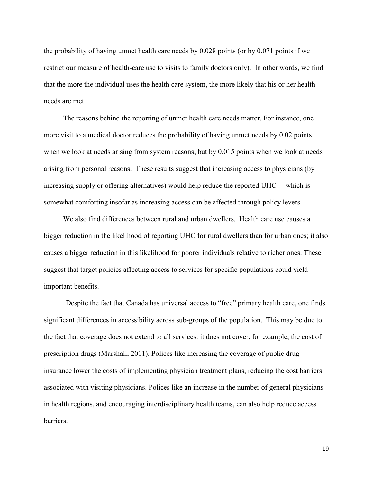the probability of having unmet health care needs by 0.028 points (or by 0.071 points if we restrict our measure of health-care use to visits to family doctors only). In other words, we find that the more the individual uses the health care system, the more likely that his or her health needs are met.

The reasons behind the reporting of unmet health care needs matter. For instance, one more visit to a medical doctor reduces the probability of having unmet needs by 0.02 points when we look at needs arising from system reasons, but by 0.015 points when we look at needs arising from personal reasons. These results suggest that increasing access to physicians (by increasing supply or offering alternatives) would help reduce the reported UHC – which is somewhat comforting insofar as increasing access can be affected through policy levers.

We also find differences between rural and urban dwellers. Health care use causes a bigger reduction in the likelihood of reporting UHC for rural dwellers than for urban ones; it also causes a bigger reduction in this likelihood for poorer individuals relative to richer ones. These suggest that target policies affecting access to services for specific populations could yield important benefits.

 Despite the fact that Canada has universal access to "free" primary health care, one finds significant differences in accessibility across sub-groups of the population. This may be due to the fact that coverage does not extend to all services: it does not cover, for example, the cost of prescription drugs (Marshall, 2011). Polices like increasing the coverage of public drug insurance lower the costs of implementing physician treatment plans, reducing the cost barriers associated with visiting physicians. Polices like an increase in the number of general physicians in health regions, and encouraging interdisciplinary health teams, can also help reduce access barriers.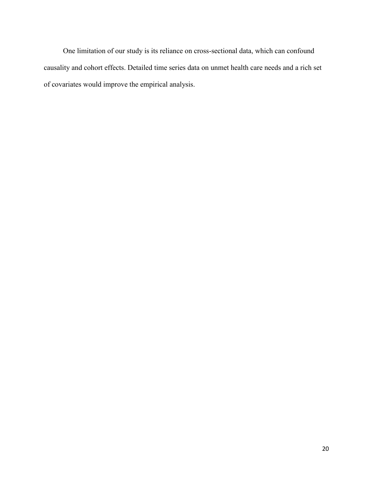One limitation of our study is its reliance on cross-sectional data, which can confound causality and cohort effects. Detailed time series data on unmet health care needs and a rich set of covariates would improve the empirical analysis.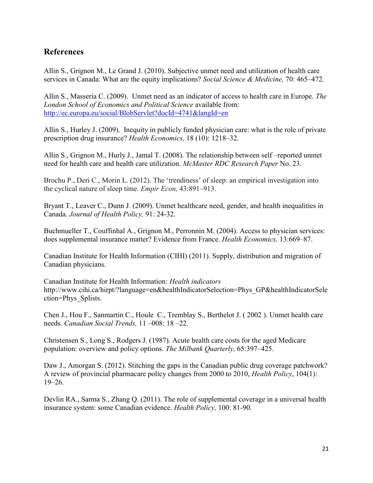## **References**

Allin S., Grignon M., Le Grand J. (2010). Subjective unmet need and utilization of health care services in Canada: What are the equity implications? *Social Science & Medicine,* 70: 465–472.

Allin S., Masseria C. (2009). Unmet need as an indicator of access to health care in Europe. *The London School of Economics and Political Science* available from: <http://ec.europa.eu/social/BlobServlet?docId=4741&langId=en>

Allin S., Hurley J. (2009). Inequity in publicly funded physician care: what is the role of private prescription drug insurance? *Health Economics,* 18 (10): 1218–32.

Allin S., Grignon M., Hurly J., Jamal T. (2008). The relationship between self –reported unmet need for health care and health care utilization. *McMaster RDC Research Paper* No. 23.

Brochu P., Deri C., Morin L. (2012). The 'trendiness' of sleep: an empirical investigation into the cyclical nature of sleep time. *Empir Econ,* 43:891–913.

Bryant T., Leaver C., Dunn J. (2009). Unmet healthcare need, gender, and health inequalities in Canada. *Journal of Health Policy,* 91: 24-32.

Buchmueller T., Couffinhal A., Grignon M., Perronnin M. (2004). Access to physician services: does supplemental insurance matter? Evidence from France. *Health Economics,* 13:669–87.

Canadian Institute for Health Information (CIHI) (2011). Supply, distribution and migration of Canadian physicians.

Canadian Institute for Health Information: *Health indicators*  http://www.cihi.ca/hirpt/?language=en&healthIndicatorSelection=Phys\_GP&healthIndicatorSele ction=Phys\_Splists.

Chen J., Hou F., Sanmartin C., Houle C., Tremblay S., Berthelot J. ( 2002 ). Unmet health care needs. *Canadian Social Trends,* 11 –008: 18 –22.

Christensen S., Long S., Rodgers J. (1987). Acute health care costs for the aged Medicare population: overview and policy options. *The Milbank Quarterly,* 65:397–425.

Daw J., Amorgan S. (2012). Stitching the gaps in the Canadian public drug coverage patchwork? A review of provincial pharmacare policy changes from 2000 to 2010, *Health Policy*, 104(1): 19–26.

Devlin RA., Sarma S., Zhang Q. (2011). The role of supplemental coverage in a universal health insurance system: some Canadian evidence. *Health Policy,* 100: 81-90.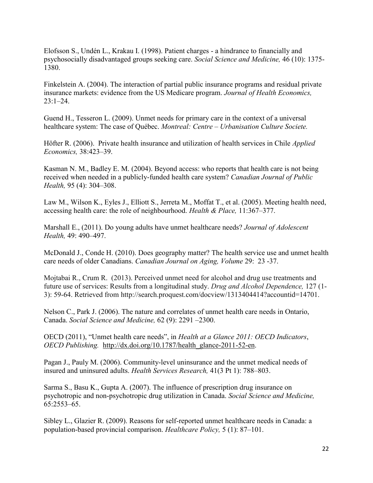Elofsson S., Undén L., Krakau I. (1998). Patient charges - a hindrance to financially and psychosocially disadvantaged groups seeking care. *Social Science and Medicine,* 46 (10): 1375- 1380.

Finkelstein A. (2004). The interaction of partial public insurance programs and residual private insurance markets: evidence from the US Medicare program. *Journal of Health Economics,*  23:1–24.

Guend H., Tesseron L. (2009). Unmet needs for primary care in the context of a universal healthcare system: The case of Québec. *Montreal: Centre – Urbanisation Culture Societe.*

Höfter R. (2006). Private health insurance and utilization of health services in Chile *Applied Economics,* 38:423–39.

Kasman N. M., Badley E. M. (2004). Beyond access: who reports that health care is not being received when needed in a publicly-funded health care system? *Canadian Journal of Public Health,* 95 (4): 304–308.

Law M., Wilson K., Eyles J., Elliott S., Jerreta M., Moffat T., et al. (2005). Meeting health need, accessing health care: the role of neighbourhood. *Health & Place,* 11:367–377.

Marshall E., (2011). Do young adults have unmet healthcare needs? *Journal of Adolescent Health,* 49: 490–497.

McDonald J., Conde H. (2010). Does geography matter? The health service use and unmet health care needs of older Canadians. *Canadian Journal on Aging, Volume* 29: 23 -37.

Mojtabai R., Crum R. (2013). Perceived unmet need for alcohol and drug use treatments and future use of services: Results from a longitudinal study. *Drug and Alcohol Dependence,* 127 (1- 3): 59-64. Retrieved from http://search.proquest.com/docview/1313404414?accountid=14701.

Nelson C., Park J. (2006). The nature and correlates of unmet health care needs in Ontario, Canada. *Social Science and Medicine,* 62 (9): 2291 –2300.

OECD (2011), "Unmet health care needs", in *Health at a Glance 2011: OECD Indicators*, *OECD Publishing.* [http://dx.doi.org/10.1787/health\\_glance-2011-52-en.](http://dx.doi.org/10.1787/health_glance-2011-52-en)

Pagan J., Pauly M. (2006). Community-level uninsurance and the unmet medical needs of insured and uninsured adults. *Health Services Research,* 41(3 Pt 1): 788–803.

Sarma S., Basu K., Gupta A. (2007). The influence of prescription drug insurance on psychotropic and non-psychotropic drug utilization in Canada. *Social Science and Medicine,*  65:2553–65.

Sibley L., Glazier R. (2009). Reasons for self-reported unmet healthcare needs in Canada: a population-based provincial comparison. *Healthcare Policy,* 5 (1): 87–101.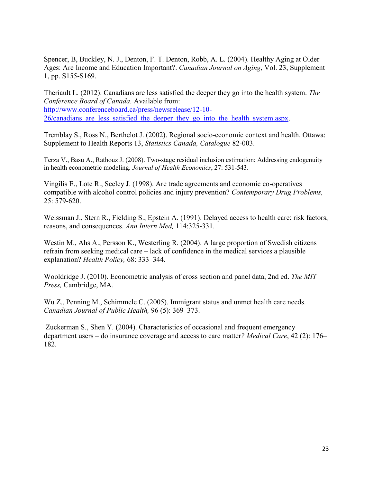Spencer, B, Buckley, N. J., Denton, F. T. Denton, Robb, A. L. (2004). Healthy Aging at Older Ages: Are Income and Education Important?. *Canadian Journal on Aging*, Vol. 23, Supplement 1, pp. S155-S169.

[Theriault](http://www.conferenceboard.ca/topics/economics/staff/louis_theriault.aspx) L. (2012). Canadians are less satisfied the deeper they go into the health system. *The Conference Board of Canada.* Available from: [http://www.conferenceboard.ca/press/newsrelease/12-10-](http://www.conferenceboard.ca/press/newsrelease/12-10-26/canadians_are_less_satisfied_the_deeper_they_go_into_the_health_system.aspx) 26/canadians are less satisfied the deeper they go into the health system.aspx.

Tremblay S., Ross N., Berthelot J. (2002). Regional socio-economic context and health. Ottawa: Supplement to Health Reports 13, *Statistics Canada, Catalogue* 82-003.

Terza V., Basu A., Rathouz J. (2008). Two-stage residual inclusion estimation: Addressing endogenuity in health econometric modeling. *Journal of Health Economics*, 27: 531-543.

Vingilis E., Lote R., Seeley J. (1998). Are trade agreements and economic co-operatives compatible with alcohol control policies and injury prevention? *Contemporary Drug Problems,*  25: 579-620.

Weissman J., Stern R., Fielding S., Epstein A. (1991). Delayed access to health care: risk factors, reasons, and consequences. *Ann Intern Med,* 114:325-331.

Westin M., Ahs A., Persson K., Westerling R. (2004). A large proportion of Swedish citizens refrain from seeking medical care – lack of confidence in the medical services a plausible explanation? *Health Policy,* 68: 333–344.

 Wooldridge J. (2010). Econometric analysis of cross section and panel data, 2nd ed. *The MIT Press,* Cambridge, MA*.*

Wu Z., Penning M., Schimmele C. (2005). Immigrant status and unmet health care needs. *Canadian Journal of Public Health,* 96 (5): 369–373.

Zuckerman S., Shen Y. (2004). Characteristics of occasional and frequent emergency department users – do insurance coverage and access to care matter*? Medical Care*, 42 (2): 176– 182.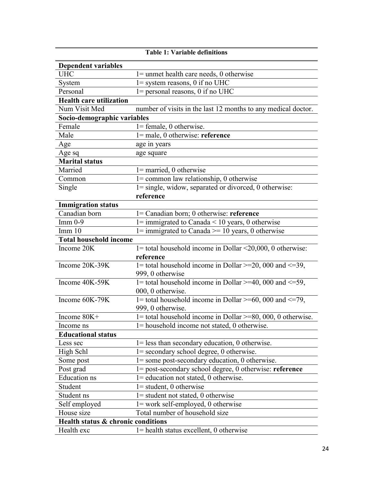| <b>Dependent variables</b>         |                                                                                      |
|------------------------------------|--------------------------------------------------------------------------------------|
| <b>UHC</b>                         | $l =$ unmet health care needs, 0 otherwise                                           |
| System                             | $1 =$ system reasons, 0 if no UHC                                                    |
| Personal                           | 1= personal reasons, 0 if no UHC                                                     |
| <b>Health care utilization</b>     |                                                                                      |
| Num Visit Med                      | number of visits in the last 12 months to any medical doctor.                        |
| Socio-demographic variables        |                                                                                      |
| Female                             | $l = female, 0 otherwise.$                                                           |
| Male                               | $l = male$ , 0 otherwise: reference                                                  |
| Age                                | age in years                                                                         |
| Age sq                             | age square                                                                           |
| <b>Marital status</b>              |                                                                                      |
| Married                            | $1 =$ married, 0 otherwise                                                           |
| Common                             | $l =$ common law relationship, 0 otherwise                                           |
| Single                             | 1= single, widow, separated or divorced, 0 otherwise:                                |
|                                    | reference                                                                            |
| <b>Immigration status</b>          |                                                                                      |
| Canadian born                      | 1= Canadian born; 0 otherwise: reference                                             |
| $Imm 0-9$                          | $1 =$ immigrated to Canada < 10 years, 0 otherwise                                   |
| Imm 10                             | $1 =$ immigrated to Canada >= 10 years, 0 otherwise                                  |
| <b>Total household income</b>      |                                                                                      |
| Income 20K                         | $1 =$ total household income in Dollar <20,000, 0 otherwise:                         |
|                                    | reference                                                                            |
| Income 20K-39K                     | 1= total household income in Dollar >=20, 000 and $\leq$ =39,                        |
|                                    | 999, 0 otherwise                                                                     |
| Income 40K-59K                     | 1= total household income in Dollar >=40, 000 and $\leq$ =59,                        |
|                                    | 000, 0 otherwise.                                                                    |
| Income 60K-79K                     | 1= total household income in Dollar >=60, 000 and $\overline{\langle 1, 29 \rangle}$ |
|                                    | 999, 0 otherwise.                                                                    |
| Income 80K+                        | 1= total household income in Dollar $\geq$ =80, 000, 0 otherwise.                    |
| Income ns                          | 1= household income not stated, 0 otherwise                                          |
| <b>Educational status</b>          |                                                                                      |
| Less sec                           | $1 =$ less than secondary education, 0 otherwise.                                    |
| High Schl                          | 1= secondary school degree, 0 otherwise.                                             |
| Some post                          | 1= some post-secondary education, 0 otherwise.                                       |
| Post grad                          | 1= post-secondary school degree, 0 otherwise: reference                              |
| <b>Education</b> ns                | $1 =$ education not stated, 0 otherwise.                                             |
| Student                            | $1 = student, 0 otherwise$                                                           |
| Student ns                         | $1 =$ student not stated, 0 otherwise                                                |
| Self employed                      | $1 = work self-employed, 0 otherwise$                                                |
| House size                         | Total number of household size                                                       |
| Health status & chronic conditions |                                                                                      |
| Health exc                         | $l =$ health status excellent, 0 otherwise                                           |

## **Table 1: Variable definitions**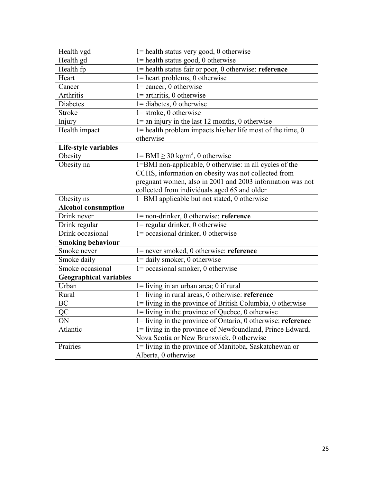| Health vgd                    | $1$ = health status very good, 0 otherwise                                     |
|-------------------------------|--------------------------------------------------------------------------------|
| Health gd                     | $1$ = health status good, 0 otherwise                                          |
| Health fp                     | 1= health status fair or poor, 0 otherwise: reference                          |
| Heart                         | $1$ = heart problems, 0 otherwise                                              |
| Cancer                        | $1$ = cancer, 0 otherwise                                                      |
| <b>Arthritis</b>              | $1 =$ arthritis, 0 otherwise                                                   |
| Diabetes                      | $1 =$ diabetes, 0 otherwise                                                    |
| Stroke                        | $1 =$ stroke, 0 otherwise                                                      |
| Injury                        | $1 =$ an injury in the last 12 months, 0 otherwise                             |
| Health impact                 | $1$ = health problem impacts his/her life most of the time, 0                  |
|                               | otherwise                                                                      |
| Life-style variables          |                                                                                |
| Obesity                       | $1 = BMI \ge 30 \text{ kg/m}^2$ , 0 otherwise                                  |
| Obesity na                    | 1=BMI non-applicable, 0 otherwise: in all cycles of the                        |
|                               | CCHS, information on obesity was not collected from                            |
|                               | pregnant women, also in 2001 and 2003 information was not                      |
|                               | collected from individuals aged 65 and older                                   |
| Obesity ns                    | 1=BMI applicable but not stated, 0 otherwise                                   |
|                               |                                                                                |
| Alcohol consumption           |                                                                                |
| Drink never                   | $l = non-drinker, 0 otherwise: reference$                                      |
| Drink regular                 | $1 =$ regular drinker, 0 otherwise                                             |
| Drink occasional              | $1 = \text{occasional drinker}, 0 \text{ otherwise}$                           |
| <b>Smoking behaviour</b>      |                                                                                |
| Smoke never                   | $l$ = never smoked, 0 otherwise: reference                                     |
| Smoke daily                   | $1 =$ daily smoker, 0 otherwise                                                |
| Smoke occasional              | $1 = \text{occasional smoker}, 0 \text{ otherwise}$                            |
| <b>Geographical variables</b> |                                                                                |
| Urban                         | $1 =$ living in an urban area; 0 if rural                                      |
| Rural                         | $1 =$ living in rural areas, 0 otherwise: reference                            |
| <b>BC</b>                     | 1= living in the province of British Columbia, 0 otherwise                     |
| QC                            | $1 =$ living in the province of Quebec, 0 otherwise                            |
| ON                            | 1= living in the province of Ontario, 0 otherwise: reference                   |
| Atlantic                      | 1= living in the province of Newfoundland, Prince Edward,                      |
|                               | Nova Scotia or New Brunswick, 0 otherwise                                      |
| Prairies                      | 1= living in the province of Manitoba, Saskatchewan or<br>Alberta, 0 otherwise |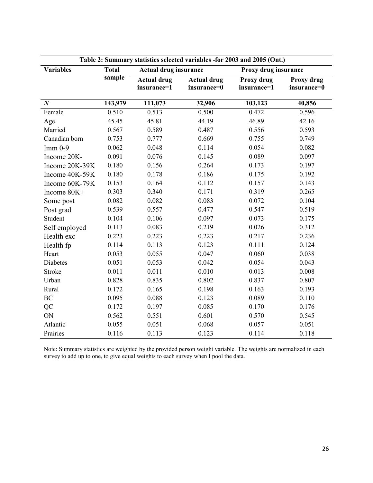| Table 2: Summary statistics selected variables -for 2003 and 2005 (Ont.) |              |                                   |                                   |                           |                           |  |  |  |  |
|--------------------------------------------------------------------------|--------------|-----------------------------------|-----------------------------------|---------------------------|---------------------------|--|--|--|--|
| <b>Variables</b>                                                         | <b>Total</b> | <b>Actual drug insurance</b>      |                                   | Proxy drug insurance      |                           |  |  |  |  |
|                                                                          | sample       | <b>Actual drug</b><br>insurance=1 | <b>Actual drug</b><br>insurance=0 | Proxy drug<br>insurance=1 | Proxy drug<br>insurance=0 |  |  |  |  |
| $\boldsymbol{N}$                                                         | 143,979      | 111,073                           | 32,906                            | 103,123                   | 40,856                    |  |  |  |  |
| Female                                                                   | 0.510        | 0.513                             | 0.500                             | 0.472                     | 0.596                     |  |  |  |  |
| Age                                                                      | 45.45        | 45.81                             | 44.19                             | 46.89                     | 42.16                     |  |  |  |  |
| Married                                                                  | 0.567        | 0.589                             | 0.487                             | 0.556                     | 0.593                     |  |  |  |  |
| Canadian born                                                            | 0.753        | 0.777                             | 0.669                             | 0.755                     | 0.749                     |  |  |  |  |
| $Imm 0-9$                                                                | 0.062        | 0.048                             | 0.114                             | 0.054                     | 0.082                     |  |  |  |  |
| Income 20K-                                                              | 0.091        | 0.076                             | 0.145                             | 0.089                     | 0.097                     |  |  |  |  |
| Income 20K-39K                                                           | 0.180        | 0.156                             | 0.264                             | 0.173                     | 0.197                     |  |  |  |  |
| Income 40K-59K                                                           | 0.180        | 0.178                             | 0.186                             | 0.175                     | 0.192                     |  |  |  |  |
| Income 60K-79K                                                           | 0.153        | 0.164                             | 0.112                             | 0.157                     | 0.143                     |  |  |  |  |
| Income 80K+                                                              | 0.303        | 0.340                             | 0.171                             | 0.319                     | 0.265                     |  |  |  |  |
| Some post                                                                | 0.082        | 0.082                             | 0.083                             | 0.072                     | 0.104                     |  |  |  |  |
| Post grad                                                                | 0.539        | 0.557                             | 0.477                             | 0.547                     | 0.519                     |  |  |  |  |
| Student                                                                  | 0.104        | 0.106                             | 0.097                             | 0.073                     | 0.175                     |  |  |  |  |
| Self employed                                                            | 0.113        | 0.083                             | 0.219                             | 0.026                     | 0.312                     |  |  |  |  |
| Health exc                                                               | 0.223        | 0.223                             | 0.223                             | 0.217                     | 0.236                     |  |  |  |  |
| Health fp                                                                | 0.114        | 0.113                             | 0.123                             | 0.111                     | 0.124                     |  |  |  |  |
| Heart                                                                    | 0.053        | 0.055                             | 0.047                             | 0.060                     | 0.038                     |  |  |  |  |
| Diabetes                                                                 | 0.051        | 0.053                             | 0.042                             | 0.054                     | 0.043                     |  |  |  |  |
| Stroke                                                                   | 0.011        | 0.011                             | 0.010                             | 0.013                     | 0.008                     |  |  |  |  |
| Urban                                                                    | 0.828        | 0.835                             | 0.802                             | 0.837                     | 0.807                     |  |  |  |  |
| Rural                                                                    | 0.172        | 0.165                             | 0.198                             | 0.163                     | 0.193                     |  |  |  |  |
| BC                                                                       | 0.095        | 0.088                             | 0.123                             | 0.089                     | 0.110                     |  |  |  |  |
| QC                                                                       | 0.172        | 0.197                             | 0.085                             | 0.170                     | 0.176                     |  |  |  |  |
| ON                                                                       | 0.562        | 0.551                             | 0.601                             | 0.570                     | 0.545                     |  |  |  |  |
| Atlantic                                                                 | 0.055        | 0.051                             | 0.068                             | 0.057                     | 0.051                     |  |  |  |  |
| Prairies                                                                 | 0.116        | 0.113                             | 0.123                             | 0.114                     | 0.118                     |  |  |  |  |

Note: Summary statistics are weighted by the provided person weight variable. The weights are normalized in each survey to add up to one, to give equal weights to each survey when I pool the data.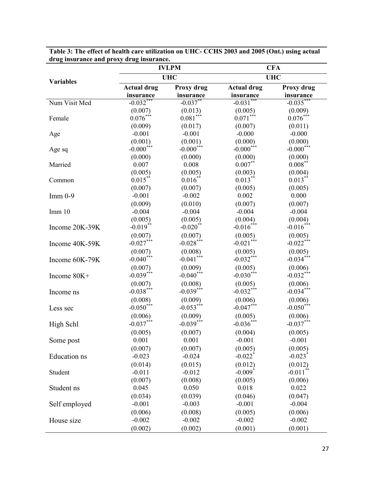|                  |                         | <b>IVLPM</b>                       | <b>CFA</b>              |                         |  |
|------------------|-------------------------|------------------------------------|-------------------------|-------------------------|--|
|                  |                         | <b>UHC</b>                         |                         | <b>UHC</b>              |  |
| <b>Variables</b> | <b>Actual drug</b>      | Proxy drug                         | <b>Actual drug</b>      | Proxy drug              |  |
|                  | insurance               | insurance                          | insurance               | insurance               |  |
| Num Visit Med    | $-0.032***$             | $-0.037***$                        | $-0.031***$             | $-0.035***$             |  |
|                  | (0.007)                 | (0.013)                            | (0.005)                 | (0.009)                 |  |
| Female           | $0.076***$              | $0.081***$                         | $0.071***$              | $0.076***$              |  |
|                  | (0.009)                 | (0.017)                            | (0.007)                 | (0.011)                 |  |
| Age              | $-0.001$                | $-0.001$                           | $-0.000$                | $-0.000$                |  |
|                  | (0.001)                 | (0.001)                            | (0.000)                 | (0.000)                 |  |
| Age sq           | $-0.000$ <sup>***</sup> | $-0.000$ <sup>***</sup>            | $-0.000$ <sup>***</sup> | $-0.000$ <sup>***</sup> |  |
|                  | (0.000)                 | (0.000)                            | (0.000)                 | (0.000)                 |  |
| Married          | 0.007                   | 0.008                              | $0.007**$               | $0.008***$              |  |
|                  | (0.005)                 | (0.005)                            | (0.003)                 | (0.004)                 |  |
| Common           | $0.015***$              | $0.016*$                           | $0.013**$               | $0.013***$              |  |
|                  | (0.007)                 | (0.007)                            | (0.005)                 | (0.005)                 |  |
| $Imm 0-9$        | $-0.001$                | $-0.002$                           | 0.002                   | 0.000                   |  |
|                  | (0.009)                 | (0.010)                            | (0.007)                 | (0.007)                 |  |
| Imm 10           | $-0.004$                | $-0.004$                           | $-0.004$                | $-0.004$                |  |
|                  | (0.005)                 | (0.005)                            | (0.004)                 | (0.004)                 |  |
| Income 20K-39K   | $-0.019**$              | $-0.020$ <sup>**</sup>             | $-0.016***$             | $-0.016***$             |  |
|                  | (0.007)                 | (0.007)                            | (0.005)                 | (0.005)                 |  |
| Income 40K-59K   | $-0.027$ ***            | $-0.028***$                        | $-0.021***$             | $-0.022***$             |  |
|                  | (0.007)                 | (0.008)                            | (0.005)                 | (0.005)                 |  |
| Income 60K-79K   | $-0.040$ <sup>***</sup> | $-0.041$ <sup>***</sup>            | $-0.032***$             | $-0.034***$             |  |
|                  | (0.007)                 |                                    | (0.005)                 | (0.006)                 |  |
| Income 80K+      | $-0.039***$             | $(0.009)$<br>-0.040 <sup>***</sup> | $-0.030***$             | $-0.032***$             |  |
|                  | (0.007)                 | (0.008)                            | (0.005)                 |                         |  |
| Income ns        | $-0.038***$             | $-0.039***$                        | $-0.032***$             | $(0.006)$<br>-0.034***  |  |
|                  | (0.008)                 | (0.009)                            | (0.006)                 | (0.006)                 |  |
| Less sec         | $-0.050$ <sup>***</sup> | $-0.053***$                        | $-0.047***$             | $-0.050$ <sup>***</sup> |  |
|                  |                         |                                    |                         |                         |  |
|                  | (0.006)<br>$-0.037***$  | (0.009)<br>$-0.039***$             | (0.005)<br>$-0.036***$  | (0.006)<br>$-0.037***$  |  |
| High Schl        |                         |                                    |                         |                         |  |
|                  | (0.005)                 | (0.007)                            | (0.004)                 | (0.005)                 |  |
| Some post        | 0.001                   | 0.001                              | $-0.001$                | $-0.001$                |  |
|                  | (0.007)                 | (0.007)                            | (0.005)                 | (0.005)                 |  |
| Education ns     | $-0.023$                | $-0.024$                           | $-0.022$ <sup>*</sup>   | $-0.023$ <sup>*</sup>   |  |
|                  | (0.014)                 | (0.015)                            | (0.012)                 | (0.012)                 |  |
| Student          | $-0.011$                | $-0.012$                           | $-0.009$ <sup>*</sup>   | $-0.011$ **             |  |
|                  | (0.007)                 | (0.008)                            | (0.005)                 | (0.006)                 |  |
| Student ns       | 0.045                   | 0.050                              | 0.018                   | 0.022                   |  |
|                  | (0.034)                 | (0.039)                            | (0.046)                 | (0.047)                 |  |
| Self employed    | $-0.001$                | $-0.003$                           | $-0.001$                | $-0.004$                |  |
|                  | (0.006)                 | (0.008)                            | (0.005)                 | (0.006)                 |  |
| House size       | $-0.002$                | $-0.002$                           | $-0.002$                | $-0.002$                |  |
|                  | (0.002)                 | (0.002)                            | (0.001)                 | (0.001)                 |  |

**Table 3: The effect of health care utilization on UHC- CCHS 2003 and 2005 (Ont.) using actual drug insurance and proxy drug insurance.**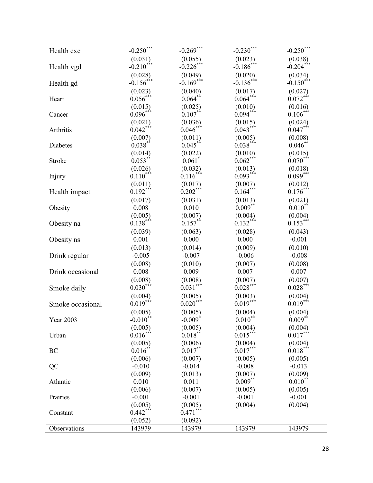|                  | $-0.250$ <sup>*</sup>              | $-0.269$ <sup>*</sup>   | $-0.230$ <sup>*</sup>              | $-0.250***$             |
|------------------|------------------------------------|-------------------------|------------------------------------|-------------------------|
| Health exc       |                                    |                         |                                    |                         |
|                  | (0.031)<br>$-0.210$ <sup>***</sup> | (0.055)<br>$-0.226$ *** | (0.023)<br>$-0.186$ <sup>***</sup> | (0.038)<br>$-0.204***$  |
| Health vgd       |                                    |                         |                                    |                         |
|                  | (0.028)                            | (0.049)                 | (0.020)                            | (0.034)                 |
| Health gd        | $-0.156$ <sup>***</sup>            | $-0.169$ <sup>***</sup> | $-0.136$ <sup>***</sup>            | $-0.150$ <sup>***</sup> |
|                  | (0.023)                            | (0.040)                 | $(0.017)$<br>$0.064***$            | $(0.027)$<br>$0.072***$ |
| Heart            | $0.056***$                         | $0.064$ **              |                                    |                         |
|                  | (0.015)                            | (0.025)                 | (0.010)                            | (0.016)                 |
| Cancer           | $0.096***$                         | $0.107**$               | $0.094***$                         | $0.106***$              |
|                  | (0.021)                            | (0.036)                 | (0.015)                            | (0.024)                 |
| Arthritis        | $0.042***$                         | $0.046***$              | $0.043***$                         | $0.047***$              |
|                  | (0.007)                            | (0.011)                 | (0.005)                            | (0.008)                 |
| Diabetes         | $0.038**$                          | $0.045**$               | $0.038***$                         | $0.046**$               |
|                  | (0.014)                            | (0.022)                 | (0.010)                            | (0.015)                 |
| Stroke           | $0.053$ <sup>**</sup>              | 0.061                   | $0.062***$                         | $0.070$ <sup>***</sup>  |
|                  | (0.026)                            | (0.032)                 | (0.013)                            | $(0.018)$<br>$0.099***$ |
| Injury           | $0.110***$                         | $0.116***$              | $0.093***$                         |                         |
|                  | $(0.011)$<br>$0.192***$            | (0.017)                 | (0.007)                            | (0.012)                 |
| Health impact    |                                    | $0.202***$              | $0.164***$                         | $0.176***$              |
|                  | (0.017)                            | (0.031)                 | (0.013)                            | (0.021)                 |
| Obesity          | 0.008                              | 0.010                   | $0.009**$                          | $0.010**$               |
|                  | (0.005)                            | (0.007)                 | (0.004)                            |                         |
| Obesity na       | $0.138***$                         | $0.157$ <sup>**</sup>   | $0.132***$                         | $(0.004)$<br>$0.153***$ |
|                  | (0.039)                            | (0.063)                 | (0.028)                            | (0.043)                 |
| Obesity ns       | 0.001                              | 0.000                   | 0.000                              | $-0.001$                |
|                  | (0.013)                            | (0.014)                 | (0.009)                            | (0.010)                 |
| Drink regular    | $-0.005$                           | $-0.007$                | $-0.006$                           | $-0.008$                |
|                  | (0.008)                            | (0.010)                 | (0.007)                            | (0.008)                 |
| Drink occasional | 0.008                              | 0.009                   | 0.007                              | 0.007                   |
|                  | (0.008)                            | (0.008)                 | (0.007)                            | (0.007)                 |
| Smoke daily      | $0.030***$                         | $0.031***$              | $0.028***$                         | $0.028***$              |
|                  |                                    | (0.005)                 |                                    |                         |
|                  | (0.004)<br>$0.019***$              | $0.020***$              | (0.003)<br>$0.019***$              | (0.004)<br>$0.019***$   |
| Smoke occasional |                                    |                         |                                    |                         |
|                  | (0.005)                            | (0.005)                 | (0.004)                            | (0.004)                 |
| <b>Year 2003</b> | $-0.010^*$                         | $-0.009$ <sup>*</sup>   | $0.010*$                           | $0.009$ **              |
|                  | (0.005)                            | (0.005)                 | (0.004)                            | (0.004)                 |
| Urban            | $0.016***$                         | $0.018***$              | $0.015***$                         | $0.017***$              |
|                  | (0.005)                            | (0.006)                 | (0.004)                            | (0.004)                 |
| BC               | $0.016^{**}$                       | $0.017$ <sup>**</sup>   | $0.017***$                         | $0.018***$              |
|                  | (0.006)                            | (0.007)                 | (0.005)                            | (0.005)                 |
| QC               | $-0.010$                           | $-0.014$                | $-0.008$                           | $-0.013$                |
|                  | (0.009)                            | (0.013)                 | (0.007)                            | (0.009)                 |
| Atlantic         | 0.010                              | 0.011                   | $0.009***$                         | $0.010^{**}$            |
|                  | (0.006)                            | (0.007)                 | (0.005)                            | (0.005)                 |
| Prairies         | $-0.001$                           | $-0.001$                | $-0.001$                           | $-0.001$                |
|                  | (0.005)                            | (0.005)                 | (0.004)                            | (0.004)                 |
| Constant         | $0.442***$                         | $0.471***$              |                                    |                         |
|                  | (0.052)                            | (0.092)                 |                                    |                         |
| Observations     | 143979                             | 143979                  | 143979                             | 143979                  |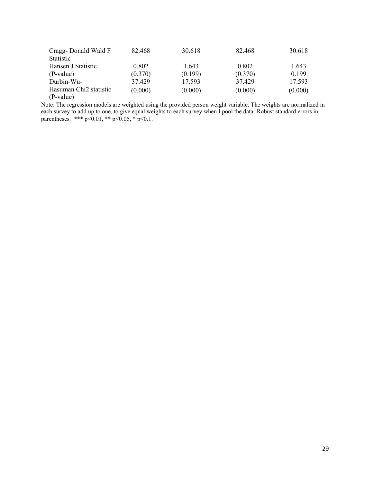| Cragg-Donald Wald F                | 82.468  | 30.618  | 82.468  | 30.618  |
|------------------------------------|---------|---------|---------|---------|
| <b>Statistic</b>                   |         |         |         |         |
| Hansen J Statistic                 | 0.802   | 1.643   | 0.802   | 1.643   |
| (P-value)                          | (0.370) | (0.199) | (0.370) | 0.199   |
| Durbin-Wu-                         | 37429   | 17.593  | 37.429  | 17.593  |
| Hasuman Chi <sub>2</sub> statistic | (0.000) | (0.000) | (0.000) | (0.000) |
| (P-value)                          |         |         |         |         |

Note: The regression models are weighted using the provided person weight variable. The weights are normalized in each survey to add up to one, to give equal weights to each survey when I pool the data. Robust standard errors in parentheses. \*\*\* p<0.01, \*\* p<0.05, \* p<0.1.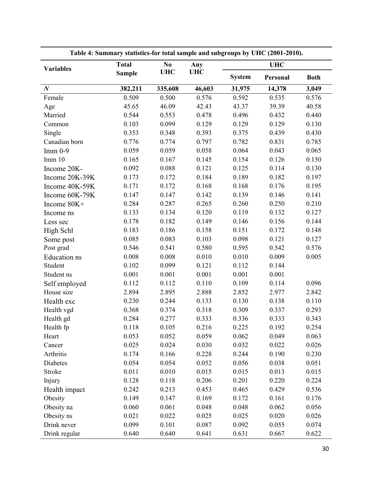| Table 4: Summary statistics-for total sample and subgroups by UHC (2001-2010). |               |                |            |               |            |             |  |  |  |
|--------------------------------------------------------------------------------|---------------|----------------|------------|---------------|------------|-------------|--|--|--|
| <b>Variables</b>                                                               | <b>Total</b>  | N <sub>0</sub> | Any        |               | <b>UHC</b> |             |  |  |  |
|                                                                                | <b>Sample</b> | <b>UHC</b>     | <b>UHC</b> | <b>System</b> | Personal   | <b>Both</b> |  |  |  |
| $\boldsymbol{N}$                                                               | 382,211       | 335,608        | 46,603     | 31,975        | 14,378     | 3,049       |  |  |  |
| Female                                                                         | 0.509         | 0.500          | 0.576      | 0.592         | 0.535      | 0.576       |  |  |  |
| Age                                                                            | 45.65         | 46.09          | 42.43      | 43.37         | 39.39      | 40.58       |  |  |  |
| Married                                                                        | 0.544         | 0.553          | 0.478      | 0.496         | 0.432      | 0.440       |  |  |  |
| Common                                                                         | 0.103         | 0.099          | 0.129      | 0.129         | 0.129      | 0.130       |  |  |  |
| Single                                                                         | 0.353         | 0.348          | 0.393      | 0.375         | 0.439      | 0.430       |  |  |  |
| Canadian born                                                                  | 0.776         | 0.774          | 0.797      | 0.782         | 0.831      | 0.785       |  |  |  |
| $Imm 0-9$                                                                      | 0.059         | 0.059          | 0.058      | 0.064         | 0.043      | 0.065       |  |  |  |
| Imm 10                                                                         | 0.165         | 0.167          | 0.145      | 0.154         | 0.126      | 0.150       |  |  |  |
| Income 20K-                                                                    | 0.092         | 0.088          | 0.121      | 0.125         | 0.114      | 0.130       |  |  |  |
| Income 20K-39K                                                                 | 0.173         | 0.172          | 0.184      | 0.189         | 0.182      | 0.197       |  |  |  |
| Income 40K-59K                                                                 | 0.171         | 0.172          | 0.168      | 0.168         | 0.176      | 0.195       |  |  |  |
| Income 60K-79K                                                                 | 0.147         | 0.147          | 0.142      | 0.139         | 0.146      | 0.141       |  |  |  |
| Income 80K+                                                                    | 0.284         | 0.287          | 0.265      | 0.260         | 0.250      | 0.210       |  |  |  |
| Income ns                                                                      | 0.133         | 0.134          | 0.120      | 0.119         | 0.132      | 0.127       |  |  |  |
| Less sec                                                                       | 0.178         | 0.182          | 0.149      | 0.146         | 0.156      | 0.144       |  |  |  |
| High Schl                                                                      | 0.183         | 0.186          | 0.158      | 0.151         | 0.172      | 0.148       |  |  |  |
| Some post                                                                      | 0.085         | 0.083          | 0.103      | 0.098         | 0.121      | 0.127       |  |  |  |
| Post grad                                                                      | 0.546         | 0.541          | 0.580      | 0.595         | 0.542      | 0.576       |  |  |  |
| Education ns                                                                   | 0.008         | 0.008          | 0.010      | 0.010         | 0.009      | 0.005       |  |  |  |
| Student                                                                        | 0.102         | 0.099          | 0.121      | 0.112         | 0.144      |             |  |  |  |
| Student ns                                                                     | 0.001         | 0.001          | 0.001      | 0.001         | 0.001      |             |  |  |  |
| Self employed                                                                  | 0.112         | 0.112          | 0.110      | 0.109         | 0.114      | 0.096       |  |  |  |
| House size                                                                     | 2.894         | 2.895          | 2.888      | 2.852         | 2.977      | 2.842       |  |  |  |
| Health exc                                                                     | 0.230         | 0.244          | 0.133      | 0.130         | 0.138      | 0.110       |  |  |  |
| Health vgd                                                                     | 0.368         | 0.374          | 0.318      | 0.309         | 0.337      | 0.293       |  |  |  |
| Health gd                                                                      | 0.284         | 0.277          | 0.333      | 0.336         | 0.333      | 0.343       |  |  |  |
| Health fp                                                                      | 0.118         | 0.105          | 0.216      | 0.225         | 0.192      | 0.254       |  |  |  |
| Heart                                                                          | 0.053         | 0.052          | 0.059      | 0.062         | 0.049      | 0.063       |  |  |  |
| Cancer                                                                         | 0.025         | 0.024          | 0.030      | 0.032         | 0.022      | 0.026       |  |  |  |
| Arthritis                                                                      | 0.174         | 0.166          | 0.228      | 0.244         | 0.190      | 0.230       |  |  |  |
| Diabetes                                                                       | 0.054         | 0.054          | 0.052      | 0.056         | 0.038      | 0.051       |  |  |  |
| Stroke                                                                         | 0.011         | 0.010          | 0.015      | 0.015         | 0.013      | 0.015       |  |  |  |
| Injury                                                                         | 0.128         | 0.118          | 0.206      | 0.201         | 0.220      | 0.224       |  |  |  |
| Health impact                                                                  | 0.242         | 0.213          | 0.453      | 0.465         | 0.429      | 0.536       |  |  |  |
| Obesity                                                                        | 0.149         | 0.147          | 0.169      | 0.172         | 0.161      | 0.176       |  |  |  |
| Obesity na                                                                     | 0.060         | 0.061          | 0.048      | 0.048         | 0.062      | 0.056       |  |  |  |
| Obesity ns                                                                     | 0.021         | 0.022          | 0.025      | 0.025         | 0.020      | 0.026       |  |  |  |
| Drink never                                                                    | 0.099         | 0.101          | 0.087      | 0.092         | 0.055      | 0.074       |  |  |  |
| Drink regular                                                                  | 0.640         | 0.640          | 0.641      | 0.631         | 0.667      | 0.622       |  |  |  |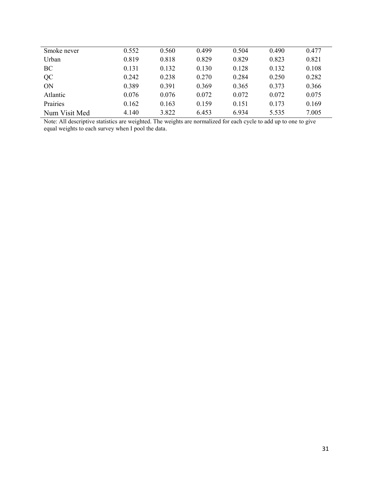| Smoke never   | 0.552 | 0.560 | 0.499 | 0.504 | 0.490 | 0.477 |
|---------------|-------|-------|-------|-------|-------|-------|
| Urban         | 0.819 | 0.818 | 0.829 | 0.829 | 0.823 | 0.821 |
| BC            | 0.131 | 0.132 | 0.130 | 0.128 | 0.132 | 0.108 |
| QC            | 0.242 | 0.238 | 0.270 | 0.284 | 0.250 | 0.282 |
| ON            | 0.389 | 0.391 | 0.369 | 0.365 | 0.373 | 0.366 |
| Atlantic      | 0.076 | 0.076 | 0.072 | 0.072 | 0.072 | 0.075 |
| Prairies      | 0.162 | 0.163 | 0.159 | 0.151 | 0.173 | 0.169 |
| Num Visit Med | 4.140 | 3.822 | 6.453 | 6.934 | 5.535 | 7.005 |

Note: All descriptive statistics are weighted. The weights are normalized for each cycle to add up to one to give equal weights to each survey when I pool the data.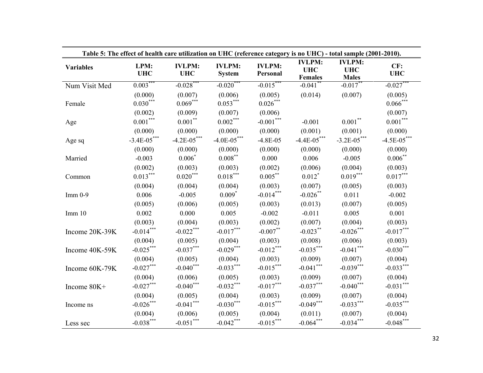| Table 5: The effect of health care utilization on UHC (reference category is no UHC) - total sample (2001-2010). |                      |                             |                                |                           |                                               |                                             |                   |  |  |
|------------------------------------------------------------------------------------------------------------------|----------------------|-----------------------------|--------------------------------|---------------------------|-----------------------------------------------|---------------------------------------------|-------------------|--|--|
| <b>Variables</b>                                                                                                 | LPM:<br><b>UHC</b>   | <b>IVLPM:</b><br><b>UHC</b> | <b>IVLPM:</b><br><b>System</b> | <b>IVLPM:</b><br>Personal | <b>IVLPM:</b><br><b>UHC</b><br><b>Females</b> | <b>IVLPM:</b><br><b>UHC</b><br><b>Males</b> | CF:<br><b>UHC</b> |  |  |
| Num Visit Med                                                                                                    | $0.003***$           | $-0.028$ ***                | $-0.020$ **                    | $-0.015***$               | $-0.041$ <sup>*</sup>                         | $-0.017$ **                                 | $-0.027$ **       |  |  |
|                                                                                                                  | (0.000)              | (0.007)                     | (0.006)                        | (0.005)                   | (0.014)                                       | (0.007)                                     | (0.005)           |  |  |
| Female                                                                                                           | $0.030^\mathrm{***}$ | $0.069***$                  | $0.053***$                     | $0.026\sp{***}$           |                                               |                                             | $0.066^{***}\,$   |  |  |
|                                                                                                                  | (0.002)              | (0.009)                     | (0.007)                        | (0.006)                   |                                               |                                             | (0.007)           |  |  |
| Age                                                                                                              | $0.001***$           | $0.001***$                  | $0.002***$                     | $-0.001***$               | $-0.001$                                      | $0.001***$                                  | $0.001***$        |  |  |
|                                                                                                                  | (0.000)              | (0.000)                     | (0.000)                        | (0.000)                   | (0.001)                                       | (0.001)                                     | (0.000)           |  |  |
| Age sq                                                                                                           | $-3.4E - 05$ ***     | $-4.2E - 05$ ***            | $-4.0E - 05$ ***               | $-4.8E - 05$              | $-4.4E - 05***$                               | $-3.2E - 05$ ***                            | $-4.5E - 05***$   |  |  |
|                                                                                                                  | (0.000)              | (0.000)                     | (0.000)                        | (0.000)                   | (0.000)                                       | (0.000)                                     | (0.000)           |  |  |
| Married                                                                                                          | $-0.003$             | $0.006*$                    | $0.008***$                     | 0.000                     | 0.006                                         | $-0.005$                                    | $0.006***$        |  |  |
|                                                                                                                  | (0.002)              | (0.003)                     | (0.003)                        | (0.002)                   | (0.006)                                       | (0.004)                                     | (0.003)           |  |  |
| Common                                                                                                           | $0.013***$           | $0.020***$                  | $0.018***$                     | $0.005***$                | $0.012^*$                                     | $0.019***$                                  | $0.017***$        |  |  |
|                                                                                                                  | (0.004)              | (0.004)                     | (0.004)                        | (0.003)                   | (0.007)                                       | (0.005)                                     | (0.003)           |  |  |
| $Imm 0-9$                                                                                                        | 0.006                | $-0.005$                    | $0.009*$                       | $-0.014***$               | $-0.026$ **                                   | 0.011                                       | $-0.002$          |  |  |
|                                                                                                                  | (0.005)              | (0.006)                     | (0.005)                        | (0.003)                   | (0.013)                                       | (0.007)                                     | (0.005)           |  |  |
| Imm 10                                                                                                           | 0.002                | 0.000                       | 0.005                          | $-0.002$                  | $-0.011$                                      | 0.005                                       | 0.001             |  |  |
|                                                                                                                  | (0.003)              | (0.004)                     | (0.003)                        | (0.002)                   | (0.007)                                       | (0.004)                                     | (0.003)           |  |  |
| Income 20K-39K                                                                                                   | $-0.014***$          | $-0.022***$                 | $-0.017***$                    | $-0.007**$                | $-0.023$ **                                   | $-0.026***$                                 | $-0.017***$       |  |  |
|                                                                                                                  | (0.004)              | (0.005)                     | (0.004)                        | (0.003)                   | (0.008)                                       | (0.006)                                     | (0.003)           |  |  |
| Income 40K-59K                                                                                                   | $-0.025***$          | $-0.037***$                 | $-0.029***$                    | $-0.012***$               | $-0.035***$                                   | $-0.041***$                                 | $-0.030***$       |  |  |
|                                                                                                                  | (0.004)              | (0.005)                     | (0.004)                        | (0.003)                   | (0.009)                                       | (0.007)                                     | (0.004)           |  |  |
| Income 60K-79K                                                                                                   | $-0.027***$          | $-0.040***$                 | $-0.033***$                    | $-0.015***$               | $-0.041***$                                   | $-0.039***$                                 | $-0.033***$       |  |  |
|                                                                                                                  | (0.004)              | (0.006)                     | (0.005)                        | (0.003)                   | (0.009)                                       | (0.007)                                     | (0.004)           |  |  |
| Income 80K+                                                                                                      | $-0.027***$          | $-0.040***$                 | $-0.032***$                    | $-0.017***$               | $-0.037***$                                   | $-0.040***$                                 | $-0.031***$       |  |  |
|                                                                                                                  | (0.004)              | (0.005)                     | (0.004)                        | (0.003)                   | (0.009)                                       | (0.007)                                     | (0.004)           |  |  |
| Income ns                                                                                                        | $-0.026***$          | $-0.041***$                 | $-0.030***$                    | $-0.015***$               | $-0.049***$                                   | $-0.033***$                                 | $-0.035***$       |  |  |
|                                                                                                                  | (0.004)              | (0.006)                     | (0.005)                        | (0.004)                   | (0.011)                                       | (0.007)                                     | (0.004)           |  |  |
| Less sec                                                                                                         | $-0.038***$          | $\textbf{-0.051}^{***}$     | $-0.042***$                    | $-0.015***$               | $-0.064***$                                   | $-0.034***$                                 | $-0.048***$       |  |  |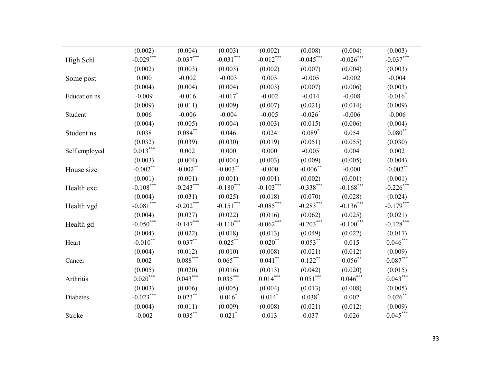|               | (0.002)              | (0.004)     | (0.003)              | (0.002)     | (0.008)                 | (0.004)             | (0.003)       |
|---------------|----------------------|-------------|----------------------|-------------|-------------------------|---------------------|---------------|
| High Schl     | $-0.029***$          | $-0.037***$ | $-0.031***$          | $-0.012***$ | $-0.045***$             | $-0.026***$         | $-0.037***$   |
|               | (0.002)              | (0.003)     | (0.003)              | (0.002)     | (0.007)                 | (0.004)             | (0.003)       |
| Some post     | 0.000                | $-0.002$    | $-0.003$             | 0.003       | $-0.005$                | $-0.002$            | $-0.004$      |
|               | (0.004)              | (0.004)     | (0.004)              | (0.003)     | (0.007)                 | (0.006)             | (0.003)       |
| Education ns  | $-0.009$             | $-0.016$    | $-0.017$ *           | $-0.002$    | $-0.014$                | $-0.008$            | $-0.016*$     |
|               | (0.009)              | (0.011)     | (0.009)              | (0.007)     | (0.021)                 | (0.014)             | (0.009)       |
| Student       | 0.006                | $-0.006$    | $-0.004$             | $-0.005$    | $-0.026*$               | $-0.006$            | $-0.006$      |
|               | (0.004)              | (0.005)     | (0.004)              | (0.003)     | (0.015)                 | (0.006)             | (0.004)       |
| Student ns    | 0.038                | $0.084**$   | 0.046                | 0.024       | $0.089*$                | 0.054               | $0.080**$     |
|               | (0.032)              | (0.039)     | (0.030)              | (0.019)     | (0.051)                 | (0.055)             | (0.030)       |
| Self employed | $0.013***$           | 0.002       | 0.000                | 0.000       | $-0.005$                | 0.004               | 0.002         |
|               | (0.003)              | (0.004)     | (0.004)              | (0.003)     | (0.009)                 | (0.005)             | (0.004)       |
| House size    | $-0.002$ **          | $-0.002$ ** | $-0.003***$          | $-0.000$    | $-0.006$ **             | $-0.000$            | $-0.002$ **   |
|               | (0.001)              | (0.001)     | (0.001)              | (0.001)     | (0.002)                 | (0.001)             | (0.001)       |
| Health exc    | $-0.108***$          | $-0.243***$ | $-0.180***$          | $-0.103***$ | $-0.338***$             | $-0.168***$         | $-0.226$ ***  |
|               | (0.004)              | (0.031)     | (0.025)              | (0.018)     | (0.070)                 | (0.028)             | (0.024)       |
| Health vgd    | $-0.081***$          | $-0.202***$ | $-0.151***$          | $-0.085***$ | $-0.283***$             | $-0.136***$         | $-0.179***$   |
|               | (0.004)              | (0.027)     | (0.022)              | (0.016)     | (0.062)                 | (0.025)             | (0.021)       |
| Health gd     | $-0.050***$          | $-0.147***$ | $-0.110***$          | $-0.062***$ | $-0.203***$             | $-0.100***$         | $-0.128***$   |
|               | (0.004)              | (0.022)     | (0.018)              | (0.013)     | (0.049)                 | (0.022)             | (0.017)       |
| Heart         | $-0.010**$           | $0.037***$  | $0.025***$           | $0.020$ **  | $0.053***$              | 0.015               | $0.046***$    |
|               | (0.004)              | (0.012)     | (0.010)              | (0.008)     | (0.021)                 | (0.012)             | (0.009)       |
| Cancer        | 0.002                | $0.088***$  | $0.065***$           | $0.041***$  | $0.122***$              | $0.056^{**}$        | $0.087***$    |
|               | (0.005)              | (0.020)     | (0.016)              | (0.013)     | (0.042)                 | (0.020)             | (0.015)       |
| Arthritis     | $0.020^\mathrm{***}$ | $0.043***$  | $0.035***$           | $0.014***$  | $0.051\overset{***}{ }$ | $0.046\sp{*}^{***}$ | $0.043***$    |
|               | (0.003)              | (0.006)     | (0.005)              | (0.004)     | (0.013)                 | (0.008)             | (0.005)       |
| Diabetes      | $-0.023***$          | $0.023***$  | $0.016*$             | $0.014$ *   | $0.038*$                | 0.002               | $0.026$ **    |
|               | (0.004)              | (0.011)     | (0.009)              | (0.008)     | (0.021)                 | (0.012)             | (0.009)       |
| Stroke        | $-0.002$             | $0.035***$  | $0.021$ <sup>*</sup> | 0.013       | 0.037                   | 0.026               | $0.045^{***}$ |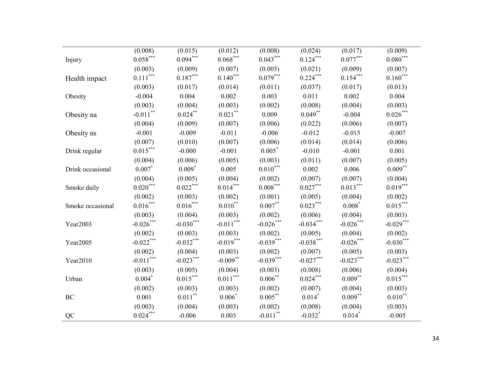|                  | (0.008)                          | (0.015)                | (0.012)                | (0.008)                | (0.024)               | (0.017)      | (0.009)            |
|------------------|----------------------------------|------------------------|------------------------|------------------------|-----------------------|--------------|--------------------|
| Injury           | $0.058^{\ast\ast\ast}$           | $0.094***$             | $0.068***$             | $0.043***$             | $0.124***$            | $0.077***$   | $0.080***$         |
|                  | (0.003)                          | (0.009)                | (0.007)                | (0.005)                | (0.021)               | (0.009)      | (0.007)            |
| Health impact    | $0.111***$                       | $0.187***$             | $0.140***$             | $0.079***$             | $0.224***$            | $0.154***$   | $0.160***$         |
|                  | (0.003)                          | (0.017)                | (0.014)                | (0.011)                | (0.037)               | (0.017)      | (0.013)            |
| Obesity          | $-0.004$                         | 0.004                  | 0.002                  | 0.003                  | 0.011                 | 0.002        | 0.004              |
|                  | (0.003)                          | (0.004)                | (0.003)                | (0.002)                | (0.008)               | (0.004)      | (0.003)            |
| Obesity na       | $-0.011$ <sup>**</sup>           | $0.024***$             | $0.021\sp{*}$          | 0.009                  | $0.049***$            | $-0.004$     | $0.026\sp{*}^{**}$ |
|                  | (0.004)                          | (0.009)                | (0.007)                | (0.006)                | (0.022)               | (0.006)      | (0.007)            |
| Obesity ns       | $-0.001$                         | $-0.009$               | $-0.011$               | $-0.006$               | $-0.012$              | $-0.015$     | $-0.007$           |
|                  | (0.007)                          | (0.010)                | (0.007)                | (0.006)                | (0.014)               | (0.014)      | (0.006)            |
| Drink regular    | $0.015***$                       | $-0.000$               | $-0.001$               | $0.005*$               | $-0.010$              | $-0.001$     | 0.001              |
|                  | (0.004)                          | (0.006)                | (0.005)                | (0.003)                | (0.011)               | (0.007)      | (0.005)            |
| Drink occasional | $0.007*$                         | $0.009*$               | 0.005                  | $0.010***$             | 0.002                 | 0.006        | $0.009***$         |
|                  | (0.004)                          | (0.005)                | (0.004)                | (0.002)                | (0.007)               | (0.007)      | (0.004)            |
| Smoke daily      | $0.020^\mathrm{***}$             | $0.022\sp{***}$        | $0.014***$             | $0.008***$             | $0.027***$            | $0.013***$   | $0.019***$         |
|                  | (0.002)                          | (0.003)                | (0.002)                | (0.001)                | (0.005)               | (0.004)      | (0.002)            |
| Smoke occasional | $0.016***$                       | $0.016***$             | $0.010***$             | $0.007***$             | $0.023***$            | $0.008*$     | $0.015***$         |
|                  | (0.003)                          | (0.004)                | (0.003)                | (0.002)                | (0.006)               | (0.004)      | (0.003)            |
| Year2003         | $-0.026***$                      | $-0.030***$            | $-0.011***$            | $-0.026***$            | $-0.034***$           | $-0.026***$  | $-0.029***$        |
|                  | (0.002)                          | (0.003)                | (0.003)                | (0.002)                | (0.005)               | (0.004)      | (0.002)            |
| Year2005         | $-0.022***$                      | $-0.032***$            | $-0.019***$            | $-0.039***$            | $-0.038***$           | $-0.026$ *** | $-0.030***$        |
|                  | (0.002)                          | (0.004)                | (0.003)                | (0.002)                | (0.007)               | (0.005)      | (0.003)            |
| Year2010         | $\textbf{-0.011}^{\ast\ast\ast}$ | $-0.023***$            | $-0.009***$            | $-0.039***$            | $-0.027***$           | $-0.023***$  | $-0.023***$        |
|                  | (0.003)                          | (0.005)                | (0.004)                | (0.003)                | (0.008)               | (0.006)      | (0.004)            |
| Urban            | $0.004*$                         | $0.015^{\ast\ast\ast}$ | $0.011^{\ast\ast\ast}$ | $0.006***$             | $0.024^{***}\,$       | $0.009***$   | $0.015^{***}$      |
|                  | (0.002)                          | (0.003)                | (0.003)                | (0.002)                | (0.007)               | (0.004)      | (0.003)            |
| $\rm BC$         | 0.001                            | $0.011***$             | $0.006*$               | $0.005***$             | $0.014$ <sup>*</sup>  | $0.009***$   | $0.010^{**}$       |
|                  | (0.003)                          | (0.004)                | (0.003)                | (0.002)                | (0.008)               | (0.004)      | (0.003)            |
| QC               | $0.024^{***}\,$                  | $-0.006$               | 0.003                  | $-0.011$ <sup>**</sup> | $-0.032$ <sup>*</sup> | $0.014*$     | $-0.005$           |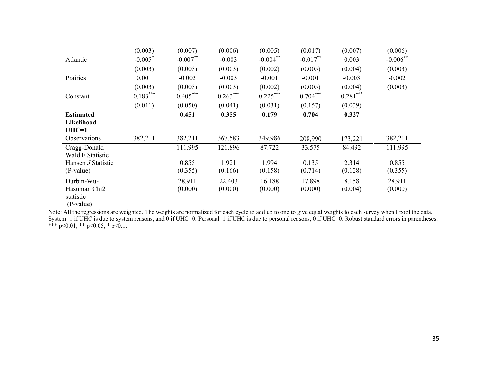|                          | (0.003)               | (0.007)    | (0.006)    | (0.005)     | (0.017)     | (0.007)    | (0.006)     |
|--------------------------|-----------------------|------------|------------|-------------|-------------|------------|-------------|
| Atlantic                 | $-0.005$ <sup>*</sup> | $-0.007**$ | $-0.003$   | $-0.004***$ | $-0.017***$ | 0.003      | $-0.006$ ** |
|                          | (0.003)               | (0.003)    | (0.003)    | (0.002)     | (0.005)     | (0.004)    | (0.003)     |
| Prairies                 | 0.001                 | $-0.003$   | $-0.003$   | $-0.001$    | $-0.001$    | $-0.003$   | $-0.002$    |
|                          | (0.003)               | (0.003)    | (0.003)    | (0.002)     | (0.005)     | (0.004)    | (0.003)     |
| Constant                 | $0.183***$            | $0.405***$ | $0.263***$ | $0.225***$  | $0.704***$  | $0.281***$ |             |
|                          | (0.011)               | (0.050)    | (0.041)    | (0.031)     | (0.157)     | (0.039)    |             |
| <b>Estimated</b>         |                       | 0.451      | 0.355      | 0.179       | 0.704       | 0.327      |             |
| Likelihood               |                       |            |            |             |             |            |             |
| $UHC=1$                  |                       |            |            |             |             |            |             |
| Observations             | 382,211               | 382,211    | 367,583    | 349,986     | 208,990     | 173,221    | 382,211     |
| Cragg-Donald             |                       | 111.995    | 121.896    | 87.722      | 33.575      | 84.492     | 111.995     |
| Wald F Statistic         |                       |            |            |             |             |            |             |
| Hansen J Statistic       |                       | 0.855      | 1.921      | 1.994       | 0.135       | 2.314      | 0.855       |
| (P-value)                |                       | (0.355)    | (0.166)    | (0.158)     | (0.714)     | (0.128)    | (0.355)     |
| Durbin-Wu-               |                       | 28.911     | 22.403     | 16.188      | 17.898      | 8.158      | 28.911      |
| Hasuman Chi <sub>2</sub> |                       | (0.000)    | (0.000)    | (0.000)     | (0.000)     | (0.004)    | (0.000)     |
| statistic                |                       |            |            |             |             |            |             |
| (P-value)                |                       |            |            |             |             |            |             |

Note: All the regressions are weighted. The weights are normalized for each cycle to add up to one to give equal weights to each survey when I pool the data. System=1 if UHC is due to system reasons, and 0 if UHC=0. Personal=1 if UHC is due to personal reasons, 0 if UHC=0. Robust standard errors in parentheses. \*\*\* p<0.01, \*\* p<0.05, \* p<0.1.